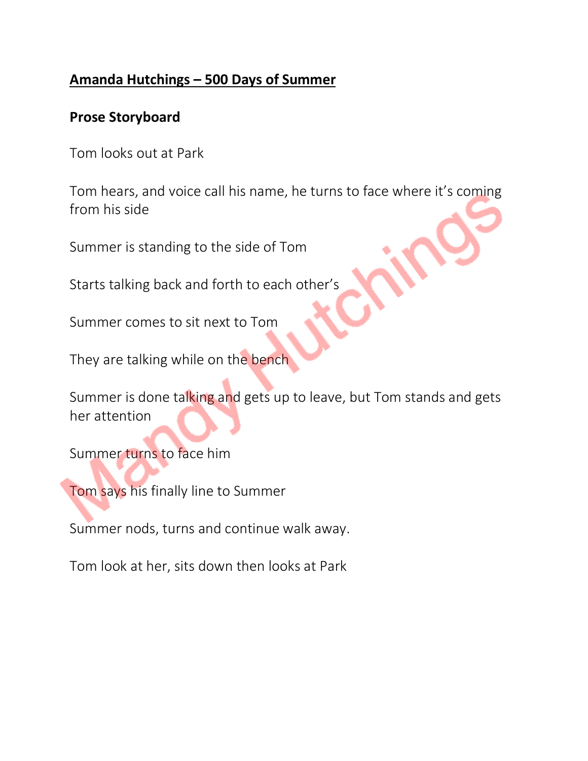## **Amanda Hutchings – 500 Days of Summer**

## **Prose Storyboard**

Tom looks out at Park

Tom hears, and voice call his name, he turns to face where it's coming from his side

Summer is standing to the side of Tom

Starts talking back and forth to each other's

Summer comes to sit next to Tom

They are talking while on the bench

Summer is done talking and gets up to leave, but Tom stands and gets her attention

Summer turns to face him

Tom says his finally line to Summer

Summer nods, turns and continue walk away.

Tom look at her, sits down then looks at Park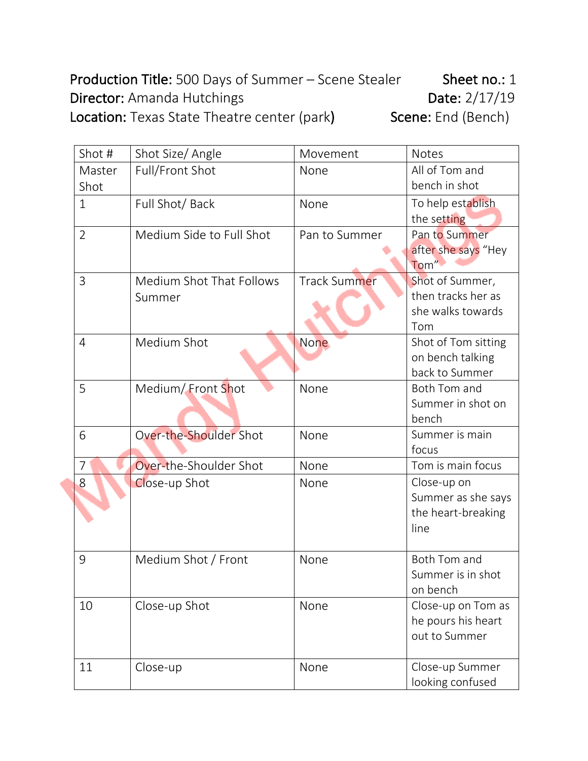## Production Title: 500 Days of Summer - Scene Stealer Sheet no.: 1 Director: Amanda Hutchings **Director: Amanda Hutchings** Date: 2/17/19 Location: Texas State Theatre center (park) Scene: End (Bench)

| Shot #         | Shot Size/ Angle                   | Movement            | <b>Notes</b>                                                      |
|----------------|------------------------------------|---------------------|-------------------------------------------------------------------|
| Master<br>Shot | Full/Front Shot                    | None                | All of Tom and<br>bench in shot                                   |
| $\mathbf{1}$   | Full Shot/ Back                    | None                | To help establish<br>the setting                                  |
| $\overline{2}$ | Medium Side to Full Shot           | Pan to Summer       | Pan to Summer<br>after she says "Hey<br>Tom"                      |
| 3              | Medium Shot That Follows<br>Summer | <b>Track Summer</b> | Shot of Summer,<br>then tracks her as<br>she walks towards<br>Tom |
| 4              | Medium Shot                        | None                | Shot of Tom sitting<br>on bench talking<br>back to Summer         |
| 5              | Medium/Front Shot                  | None                | Both Tom and<br>Summer in shot on<br>bench                        |
| 6              | Over-the-Shoulder Shot             | None                | Summer is main<br>focus                                           |
| $\overline{7}$ | Over-the-Shoulder Shot             | None                | Tom is main focus                                                 |
| 8              | Close-up Shot                      | None                | Close-up on<br>Summer as she says<br>the heart-breaking<br>line   |
| 9              | Medium Shot / Front                | None                | Both Tom and<br>Summer is in shot<br>on bench                     |
| 10             | Close-up Shot                      | None                | Close-up on Tom as<br>he pours his heart<br>out to Summer         |
| 11             | Close-up                           | None                | Close-up Summer<br>looking confused                               |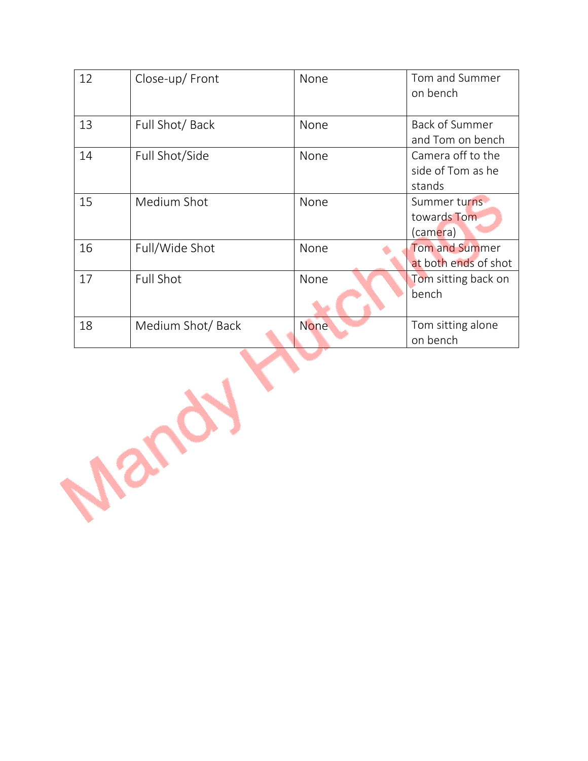| Close-up/Front   | None | Tom and Summer<br>on bench                       |
|------------------|------|--------------------------------------------------|
| Full Shot/ Back  | None | <b>Back of Summer</b><br>and Tom on bench        |
| Full Shot/Side   | None | Camera off to the<br>side of Tom as he<br>stands |
| Medium Shot      | None | Summer turns<br>towards Tom<br>(camera)          |
| Full/Wide Shot   | None | <b>Tom and Summer</b><br>at both ends of shot    |
| Full Shot        | None | Tom sitting back on<br>bench                     |
| Medium Shot/Back | None | Tom sitting alone<br>on bench                    |
|                  |      |                                                  |
|                  |      |                                                  |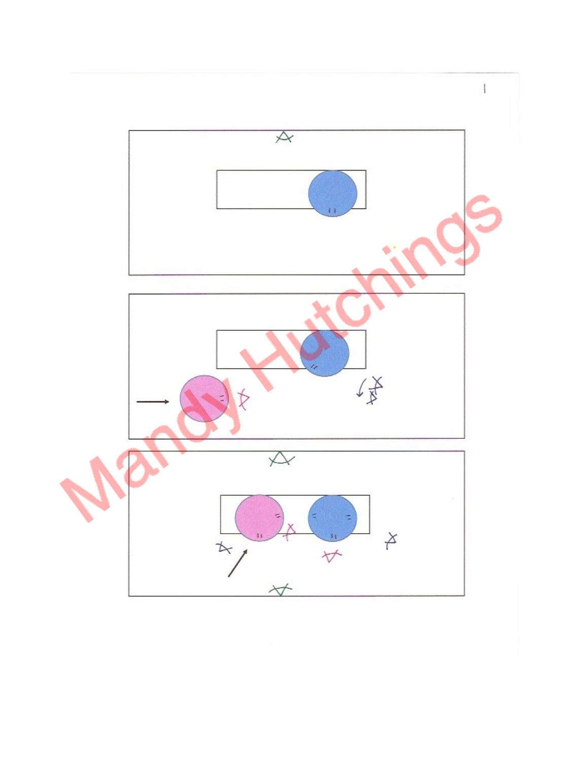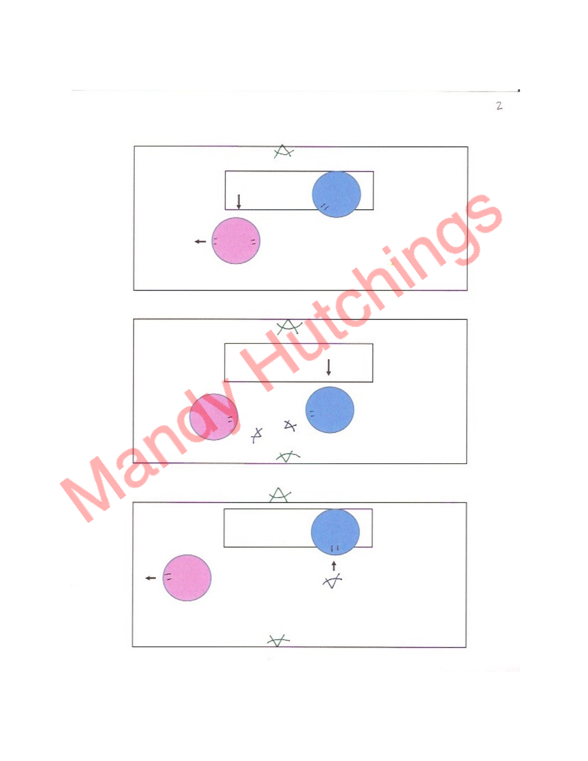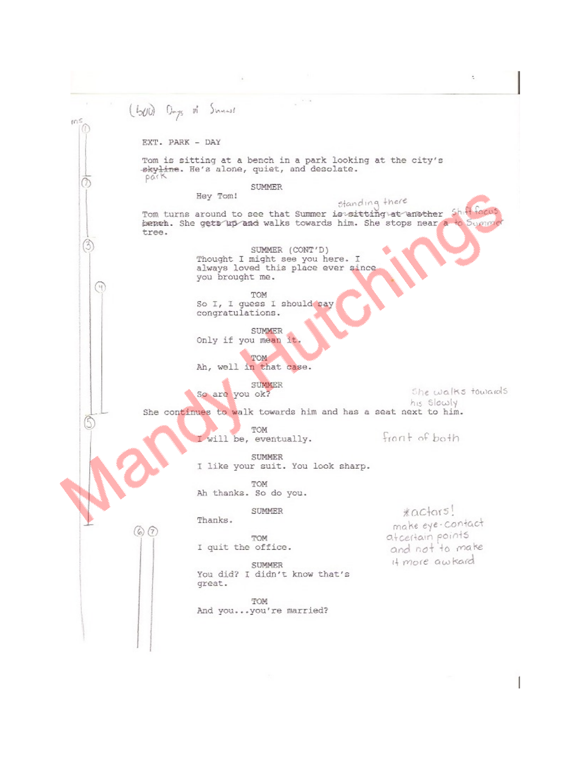$(500)$   $0_{sys}$  of  $5_{mass}$  $m5$ EXT. PARK - DAY Tom is sitting at a bench in a park looking at the city's<br>-skyline. He's alone, quiet, and desolate.<br>park SUMMER Hey Tom! standing there Tom turns around to see that Summer is sitting at another Shift facus bench. She gets up and walks towards him. She stops near a to Sugara tree. ᢙ SUMMER (CONT'D) Thought I might see you here. I<br>always loved this place ever since you brought me.  $\bigcirc$ TOM So I, I guess I should say congratulations. SUMMER Only if you mean it. TOM Ah, well in that case. SUMMER She walks towards So are you ok? his slowly She continues to walk towards him and has a seat next to him. TOM front of both I will be, eventually. SUMMER I like your suit. You look sharp. TOM Ah thanks. So do you.  $*ac$  ars! SUMMER Thanks. make eye-contact  $\circledcirc$  (7) afcertain points TOM I quit the office. and not to make It more awkard **SUMMER** You did? I didn't know that's qreat. TOM And you...you're married?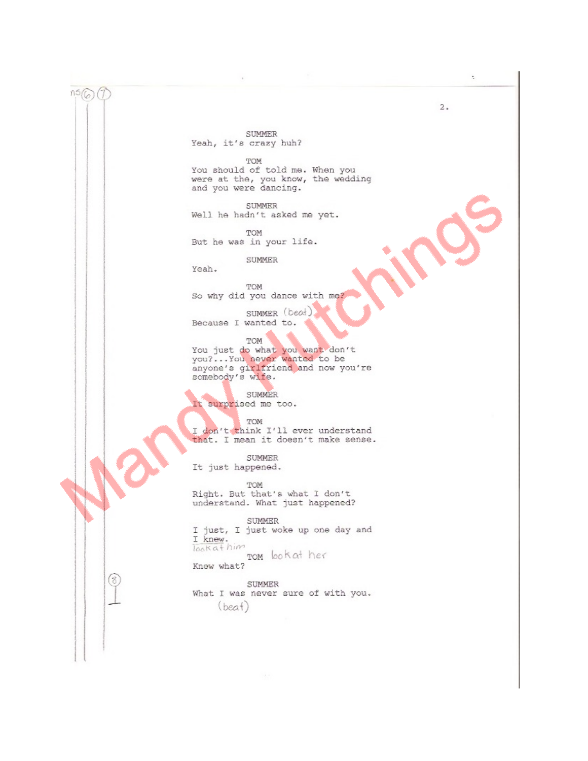SUMMER Yeah, it's crazy huh?

TOM

You should of told me. When you were at the, you know, the wedding<br>and you were dancing.

SUMMER Well he hadn't asked me yet.

TOM But he was in your life.

SUMMER

Yeah.

TOM So why did you dance with me?

SUMMER (beat) Because I wanted to.

TOM

You just do what you want don't<br>you?...You never wanted to be anyone's girlfriend and now you're<br>somebody's wife.

SUMMER

It surprised me too.

TOM I don't think I'll ever understand that. I mean it doesn't make sense.

SUMMER It just happened.

TOM Right. But that's what I don't understand. What just happened?

SUMMER I just, I just woke up one day and I knew. lookat him

TOM lookat her

Knew what?

(8)

SUMMER What I was never sure of with you.  $(bea+)$ 

 $2.$ 

 $\bar{\epsilon}$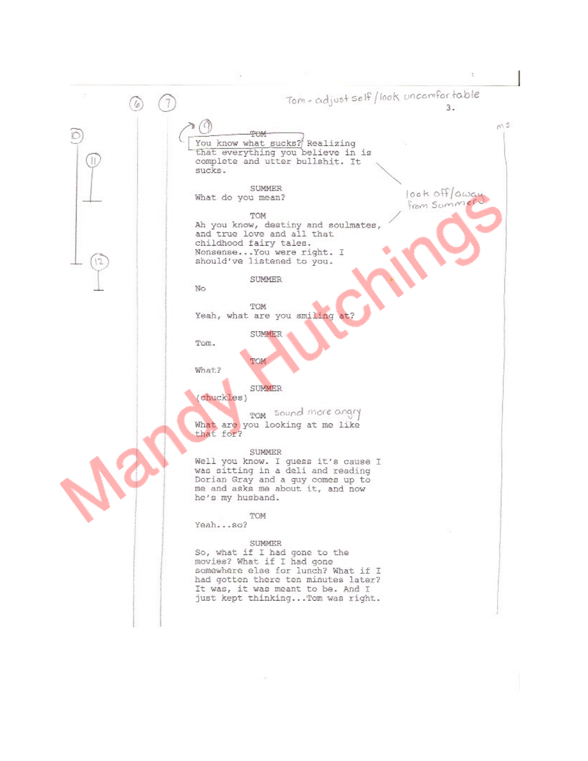